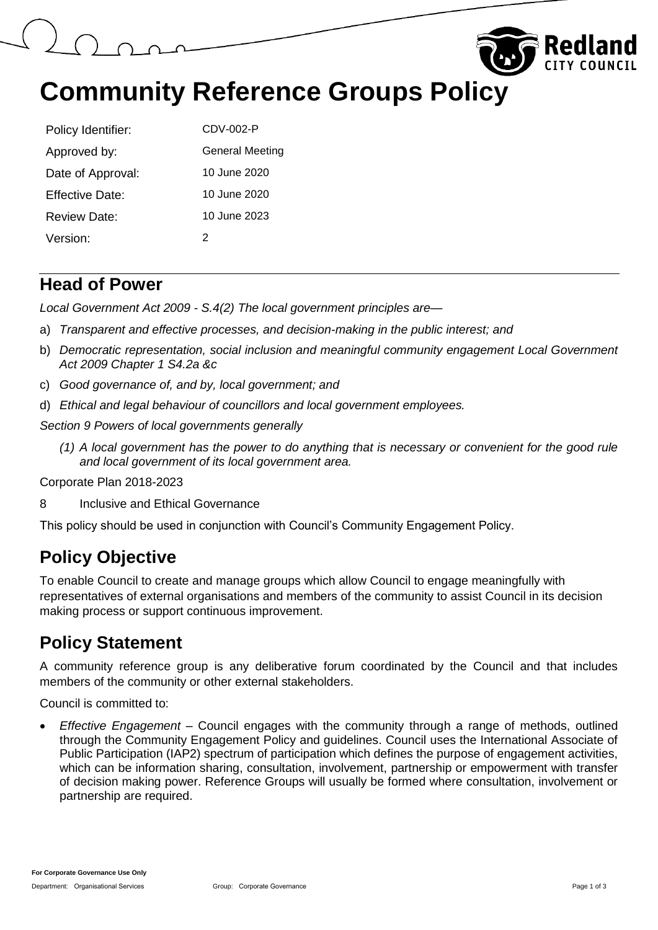



## **Community Reference Groups Policy**

| Policy Identifier: | CDV-002-P       |
|--------------------|-----------------|
| Approved by:       | General Meeting |
| Date of Approval:  | 10 June 2020    |
| Effective Date:    | 10 June 2020    |
| Review Date:       | 10 June 2023    |
| Version:           | 2               |

#### **Head of Power**

*Local Government Act 2009 - S.4(2) The local government principles are—*

- a) *Transparent and effective processes, and decision-making in the public interest; and*
- b) *Democratic representation, social inclusion and meaningful community engagement Local Government Act 2009 Chapter 1 S4.2a &c*
- c) *Good governance of, and by, local government; and*
- d) *Ethical and legal behaviour of councillors and local government employees.*

*Section 9 Powers of local governments generally* 

*(1) A local government has the power to do anything that is necessary or convenient for the good rule and local government of its local government area.*

Corporate Plan 2018-2023

8 Inclusive and Ethical Governance

This policy should be used in conjunction with Council's Community Engagement Policy.

### **Policy Objective**

To enable Council to create and manage groups which allow Council to engage meaningfully with representatives of external organisations and members of the community to assist Council in its decision making process or support continuous improvement.

### **Policy Statement**

A community reference group is any deliberative forum coordinated by the Council and that includes members of the community or other external stakeholders.

Council is committed to:

 *Effective Engagement* – Council engages with the community through a range of methods, outlined through the Community Engagement Policy and guidelines. Council uses the International Associate of Public Participation (IAP2) spectrum of participation which defines the purpose of engagement activities, which can be information sharing, consultation, involvement, partnership or empowerment with transfer of decision making power. Reference Groups will usually be formed where consultation, involvement or partnership are required.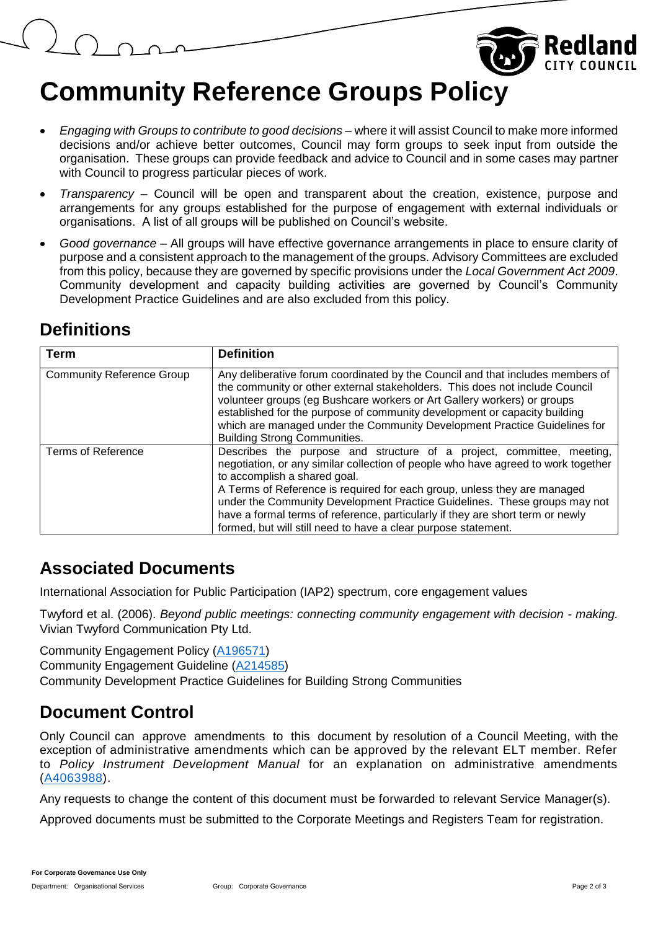# **Community Reference Groups Policy**

- *Engaging with Groups to contribute to good decisions* where it will assist Council to make more informed decisions and/or achieve better outcomes, Council may form groups to seek input from outside the organisation. These groups can provide feedback and advice to Council and in some cases may partner with Council to progress particular pieces of work.
- *Transparency* Council will be open and transparent about the creation, existence, purpose and arrangements for any groups established for the purpose of engagement with external individuals or organisations. A list of all groups will be published on Council's website.
- *Good governance* All groups will have effective governance arrangements in place to ensure clarity of purpose and a consistent approach to the management of the groups. Advisory Committees are excluded from this policy, because they are governed by specific provisions under the *Local Government Act 2009*. Community development and capacity building activities are governed by Council's Community Development Practice Guidelines and are also excluded from this policy.

### **Definitions**

| Term                             | <b>Definition</b>                                                                                                                                                                                                                                                                                                                                                                                                                                                                                       |
|----------------------------------|---------------------------------------------------------------------------------------------------------------------------------------------------------------------------------------------------------------------------------------------------------------------------------------------------------------------------------------------------------------------------------------------------------------------------------------------------------------------------------------------------------|
| <b>Community Reference Group</b> | Any deliberative forum coordinated by the Council and that includes members of<br>the community or other external stakeholders. This does not include Council<br>volunteer groups (eg Bushcare workers or Art Gallery workers) or groups<br>established for the purpose of community development or capacity building<br>which are managed under the Community Development Practice Guidelines for<br><b>Building Strong Communities.</b>                                                               |
| <b>Terms of Reference</b>        | Describes the purpose and structure of a project, committee, meeting,<br>negotiation, or any similar collection of people who have agreed to work together<br>to accomplish a shared goal.<br>A Terms of Reference is required for each group, unless they are managed<br>under the Community Development Practice Guidelines. These groups may not<br>have a formal terms of reference, particularly if they are short term or newly<br>formed, but will still need to have a clear purpose statement. |

#### **Associated Documents**

International Association for Public Participation (IAP2) spectrum, core engagement values

Twyford et al. (2006). *Beyond public meetings: connecting community engagement with decision - making.* Vivian Twyford Communication Pty Ltd.

Community Engagement Policy [\(A196571\)](https://edrms-prd.rccprd.redland.qld.gov.au/id:A196571/document/versions/published)

Community Engagement Guideline [\(A214585\)](https://edrms-prd.rccprd.redland.qld.gov.au/id:A214585/document/versions/published)

Community Development Practice Guidelines for Building Strong Communities

### **Document Control**

Only Council can approve amendments to this document by resolution of a Council Meeting, with the exception of administrative amendments which can be approved by the relevant ELT member. Refer to *Policy Instrument Development Manual* for an explanation on administrative amendments [\(A4063988\)](https://edrms-prd.rccprd.redland.qld.gov.au/id:A4063988/document/versions/published).

Any requests to change the content of this document must be forwarded to relevant Service Manager(s).

Approved documents must be submitted to the Corporate Meetings and Registers Team for registration.